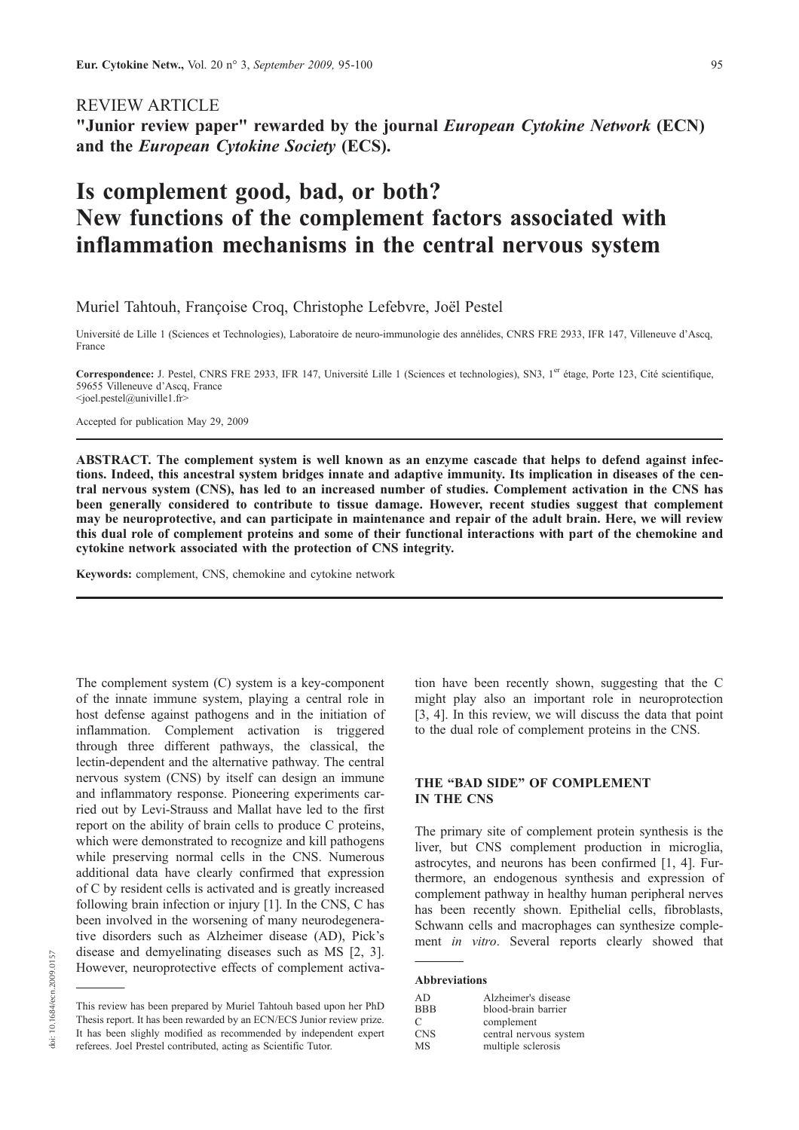# REVIEW ARTICLE

"Junior review paper" rewarded by the journal European Cytokine Network (ECN) and the European Cytokine Society (ECS).

# Is complement good, bad, or both? New functions of the complement factors associated with inflammation mechanisms in the central nervous system

### Muriel Tahtouh, Françoise Croq, Christophe Lefebvre, Joël Pestel

Université de Lille 1 (Sciences et Technologies), Laboratoire de neuro-immunologie des annélides, CNRS FRE 2933, IFR 147, Villeneuve d'Ascq, France

Correspondence: J. Pestel, CNRS FRE 2933, IFR 147, Université Lille 1 (Sciences et technologies), SN3, 1<sup>er</sup> étage, Porte 123, Cité scientifique, 59655 Villeneuve d'Ascq, France <joel.pestel@univille1.fr>

Accepted for publication May 29, 2009

ABSTRACT. The complement system is well known as an enzyme cascade that helps to defend against infections. Indeed, this ancestral system bridges innate and adaptive immunity. Its implication in diseases of the central nervous system (CNS), has led to an increased number of studies. Complement activation in the CNS has been generally considered to contribute to tissue damage. However, recent studies suggest that complement may be neuroprotective, and can participate in maintenance and repair of the adult brain. Here, we will review this dual role of complement proteins and some of their functional interactions with part of the chemokine and cytokine network associated with the protection of CNS integrity.

Keywords: complement, CNS, chemokine and cytokine network

The complement system (C) system is a key-component of the innate immune system, playing a central role in host defense against pathogens and in the initiation of inflammation. Complement activation is triggered through three different pathways, the classical, the lectin-dependent and the alternative pathway. The central nervous system (CNS) by itself can design an immune and inflammatory response. Pioneering experiments carried out by Levi-Strauss and Mallat have led to the first report on the ability of brain cells to produce C proteins, which were demonstrated to recognize and kill pathogens while preserving normal cells in the CNS. Numerous additional data have clearly confirmed that expression of C by resident cells is activated and is greatly increased following brain infection or injury [1]. In the CNS, C has been involved in the worsening of many neurodegenerative disorders such as Alzheimer disease (AD), Pick's disease and demyelinating diseases such as MS [2, 3]. However, neuroprotective effects of complement activation have been recently shown, suggesting that the C might play also an important role in neuroprotection [3, 4]. In this review, we will discuss the data that point to the dual role of complement proteins in the CNS.

# THE "BAD SIDE" OF COMPLEMENT IN THE CNS

The primary site of complement protein synthesis is the liver, but CNS complement production in microglia, astrocytes, and neurons has been confirmed [1, 4]. Furthermore, an endogenous synthesis and expression of complement pathway in healthy human peripheral nerves has been recently shown. Epithelial cells, fibroblasts, Schwann cells and macrophages can synthesize complement in vitro. Several reports clearly showed that

#### Abbreviations

| AD         | Alzheimer's disease    |
|------------|------------------------|
| <b>BBB</b> | blood-brain barrier    |
| C          | complement             |
| <b>CNS</b> | central nervous system |
| MS         | multiple sclerosis     |

This review has been prepared by Muriel Tahtouh based upon her PhD Thesis report. It has been rewarded by an ECN/ECS Junior review prize. It has been slighly modified as recommended by independent expert referees. Joel Prestel contributed, acting as Scientific Tutor.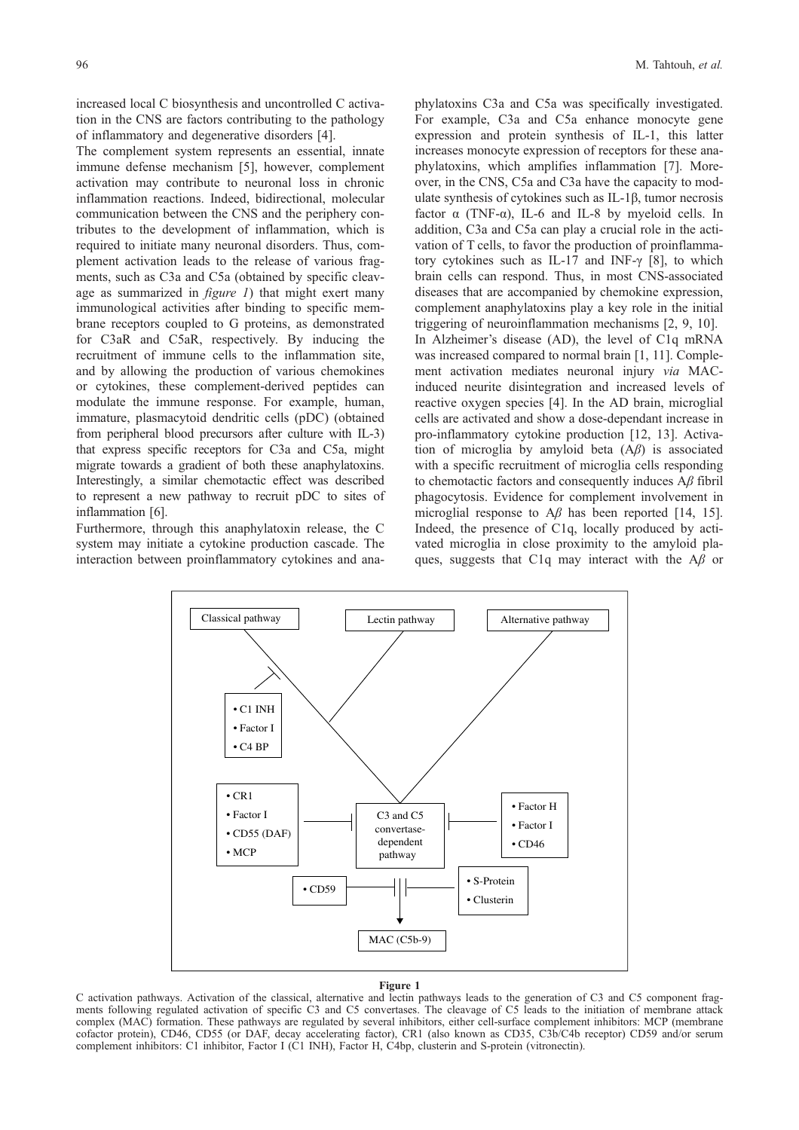increased local C biosynthesis and uncontrolled C activation in the CNS are factors contributing to the pathology of inflammatory and degenerative disorders [4].

The complement system represents an essential, innate immune defense mechanism [5], however, complement activation may contribute to neuronal loss in chronic inflammation reactions. Indeed, bidirectional, molecular communication between the CNS and the periphery contributes to the development of inflammation, which is required to initiate many neuronal disorders. Thus, complement activation leads to the release of various fragments, such as C3a and C5a (obtained by specific cleavage as summarized in  $figure\ I)$  that might exert many immunological activities after binding to specific membrane receptors coupled to G proteins, as demonstrated for C3aR and C5aR, respectively. By inducing the recruitment of immune cells to the inflammation site, and by allowing the production of various chemokines or cytokines, these complement-derived peptides can modulate the immune response. For example, human, immature, plasmacytoid dendritic cells (pDC) (obtained from peripheral blood precursors after culture with IL-3) that express specific receptors for C3a and C5a, might migrate towards a gradient of both these anaphylatoxins. Interestingly, a similar chemotactic effect was described to represent a new pathway to recruit pDC to sites of inflammation [6].

Furthermore, through this anaphylatoxin release, the C system may initiate a cytokine production cascade. The interaction between proinflammatory cytokines and anaphylatoxins C3a and C5a was specifically investigated. For example, C3a and C5a enhance monocyte gene expression and protein synthesis of IL-1, this latter increases monocyte expression of receptors for these anaphylatoxins, which amplifies inflammation [7]. Moreover, in the CNS, C5a and C3a have the capacity to modulate synthesis of cytokines such as IL-1β, tumor necrosis factor  $\alpha$  (TNF- $\alpha$ ), IL-6 and IL-8 by myeloid cells. In addition, C3a and C5a can play a crucial role in the activation of T cells, to favor the production of proinflammatory cytokines such as IL-17 and INF-γ [8], to which brain cells can respond. Thus, in most CNS-associated diseases that are accompanied by chemokine expression, complement anaphylatoxins play a key role in the initial triggering of neuroinflammation mechanisms [2, 9, 10]. In Alzheimer's disease (AD), the level of C1q mRNA was increased compared to normal brain [1, 11]. Complement activation mediates neuronal injury via MACinduced neurite disintegration and increased levels of reactive oxygen species [4]. In the AD brain, microglial cells are activated and show a dose-dependant increase in pro-inflammatory cytokine production [12, 13]. Activation of microglia by amyloid beta  $(A\beta)$  is associated with a specific recruitment of microglia cells responding to chemotactic factors and consequently induces  $A\beta$  fibril phagocytosis. Evidence for complement involvement in microglial response to  $A\beta$  has been reported [14, 15]. Indeed, the presence of C1q, locally produced by activated microglia in close proximity to the amyloid plaques, suggests that C1q may interact with the  $\mathbf{A}\beta$  or



#### Figure 1

C activation pathways. Activation of the classical, alternative and lectin pathways leads to the generation of C3 and C5 component fragments following regulated activation of specific C3 and C5 convertases. The cleavage of C5 leads to the initiation of membrane attack complex (MAC) formation. These pathways are regulated by several inhibitors, either cell-surface complement inhibitors: MCP (membrane cofactor protein), CD46, CD55 (or DAF, decay accelerating factor), CR1 (also known as CD35, C3b/C4b receptor) CD59 and/or serum complement inhibitors: C1 inhibitor, Factor I (C1 INH), Factor H, C4bp, clusterin and S-protein (vitronectin).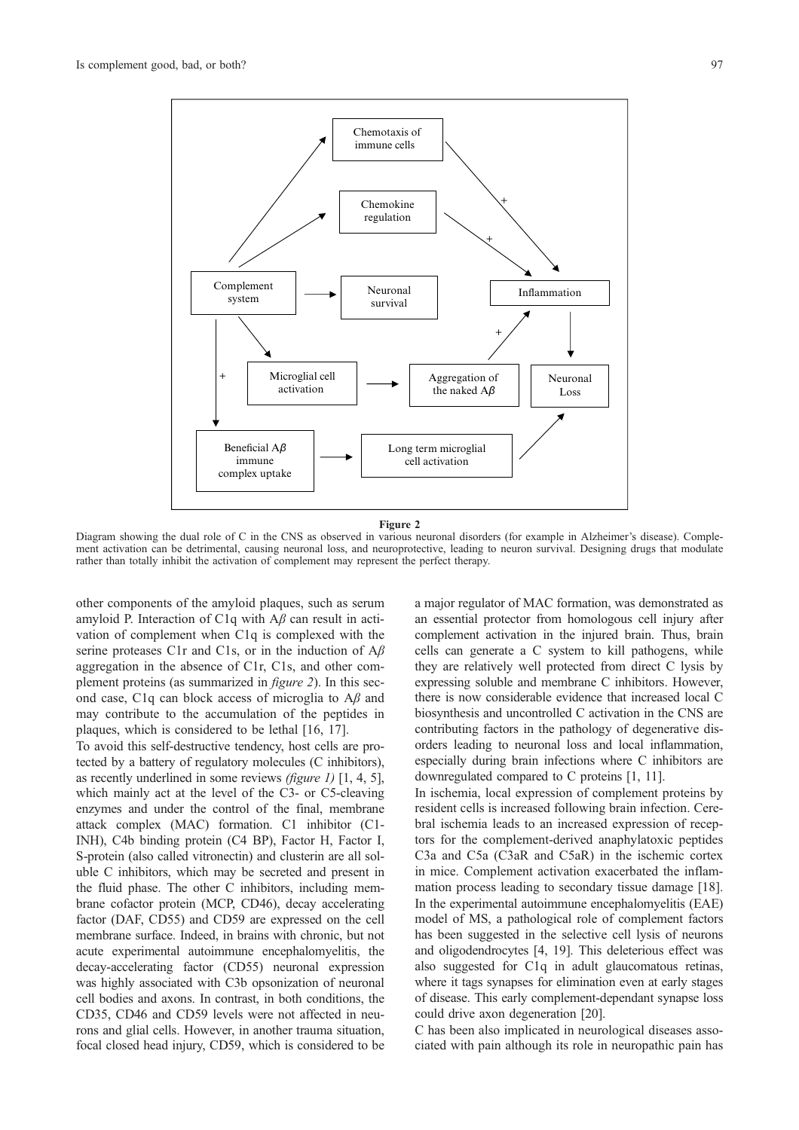

Figure 2

Diagram showing the dual role of C in the CNS as observed in various neuronal disorders (for example in Alzheimer's disease). Complement activation can be detrimental, causing neuronal loss, and neuroprotective, leading to neuron survival. Designing drugs that modulate rather than totally inhibit the activation of complement may represent the perfect therapy.

other components of the amyloid plaques, such as serum amyloid P. Interaction of C1q with  $A\beta$  can result in activation of complement when C1q is complexed with the serine proteases C1r and C1s, or in the induction of  $A\beta$ aggregation in the absence of C1r, C1s, and other complement proteins (as summarized in figure 2). In this second case, C1q can block access of microglia to  $A\beta$  and may contribute to the accumulation of the peptides in plaques, which is considered to be lethal [16, 17].

To avoid this self-destructive tendency, host cells are protected by a battery of regulatory molecules (C inhibitors), as recently underlined in some reviews (figure 1) [1, 4, 5], which mainly act at the level of the C3- or C5-cleaving enzymes and under the control of the final, membrane attack complex (MAC) formation. C1 inhibitor (C1- INH), C4b binding protein (C4 BP), Factor H, Factor I, S-protein (also called vitronectin) and clusterin are all soluble C inhibitors, which may be secreted and present in the fluid phase. The other C inhibitors, including membrane cofactor protein (MCP, CD46), decay accelerating factor (DAF, CD55) and CD59 are expressed on the cell membrane surface. Indeed, in brains with chronic, but not acute experimental autoimmune encephalomyelitis, the decay-accelerating factor (CD55) neuronal expression was highly associated with C3b opsonization of neuronal cell bodies and axons. In contrast, in both conditions, the CD35, CD46 and CD59 levels were not affected in neurons and glial cells. However, in another trauma situation, focal closed head injury, CD59, which is considered to be a major regulator of MAC formation, was demonstrated as an essential protector from homologous cell injury after complement activation in the injured brain. Thus, brain cells can generate a C system to kill pathogens, while they are relatively well protected from direct C lysis by expressing soluble and membrane C inhibitors. However, there is now considerable evidence that increased local C biosynthesis and uncontrolled C activation in the CNS are contributing factors in the pathology of degenerative disorders leading to neuronal loss and local inflammation, especially during brain infections where C inhibitors are downregulated compared to C proteins [1, 11].

In ischemia, local expression of complement proteins by resident cells is increased following brain infection. Cerebral ischemia leads to an increased expression of receptors for the complement-derived anaphylatoxic peptides C3a and C5a (C3aR and C5aR) in the ischemic cortex in mice. Complement activation exacerbated the inflammation process leading to secondary tissue damage [18]. In the experimental autoimmune encephalomyelitis (EAE) model of MS, a pathological role of complement factors has been suggested in the selective cell lysis of neurons and oligodendrocytes [4, 19]. This deleterious effect was also suggested for C1q in adult glaucomatous retinas, where it tags synapses for elimination even at early stages of disease. This early complement-dependant synapse loss could drive axon degeneration [20].

C has been also implicated in neurological diseases associated with pain although its role in neuropathic pain has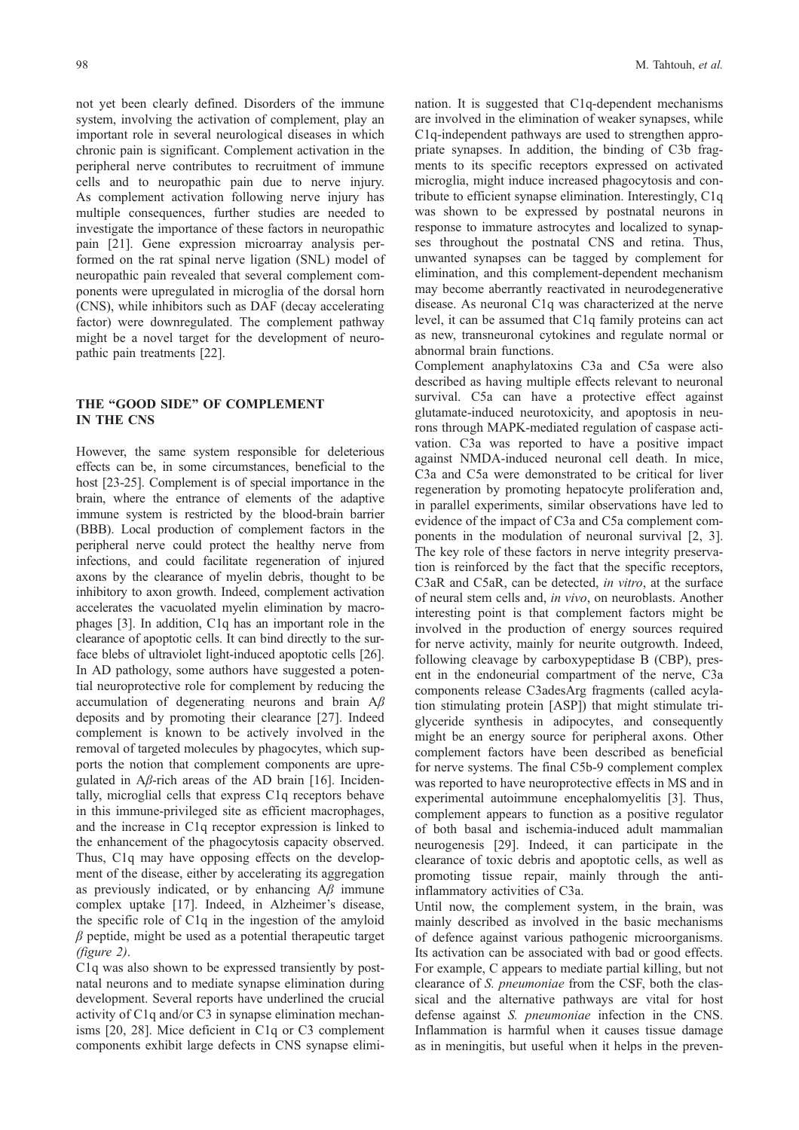not yet been clearly defined. Disorders of the immune system, involving the activation of complement, play an important role in several neurological diseases in which chronic pain is significant. Complement activation in the peripheral nerve contributes to recruitment of immune cells and to neuropathic pain due to nerve injury. As complement activation following nerve injury has multiple consequences, further studies are needed to investigate the importance of these factors in neuropathic pain [21]. Gene expression microarray analysis performed on the rat spinal nerve ligation (SNL) model of neuropathic pain revealed that several complement components were upregulated in microglia of the dorsal horn (CNS), while inhibitors such as DAF (decay accelerating factor) were downregulated. The complement pathway might be a novel target for the development of neuropathic pain treatments [22].

# THE "GOOD SIDE" OF COMPLEMENT IN THE CNS

However, the same system responsible for deleterious effects can be, in some circumstances, beneficial to the host [23-25]. Complement is of special importance in the brain, where the entrance of elements of the adaptive immune system is restricted by the blood-brain barrier (BBB). Local production of complement factors in the peripheral nerve could protect the healthy nerve from infections, and could facilitate regeneration of injured axons by the clearance of myelin debris, thought to be inhibitory to axon growth. Indeed, complement activation accelerates the vacuolated myelin elimination by macrophages [3]. In addition, C1q has an important role in the clearance of apoptotic cells. It can bind directly to the surface blebs of ultraviolet light-induced apoptotic cells [26]. In AD pathology, some authors have suggested a potential neuroprotective role for complement by reducing the accumulation of degenerating neurons and brain  $A\beta$ deposits and by promoting their clearance [27]. Indeed complement is known to be actively involved in the removal of targeted molecules by phagocytes, which supports the notion that complement components are upregulated in  $A\beta$ -rich areas of the AD brain [16]. Incidentally, microglial cells that express C1q receptors behave in this immune-privileged site as efficient macrophages, and the increase in C1q receptor expression is linked to the enhancement of the phagocytosis capacity observed. Thus, C1q may have opposing effects on the development of the disease, either by accelerating its aggregation as previously indicated, or by enhancing  $A\beta$  immune complex uptake [17]. Indeed, in Alzheimer's disease, the specific role of C1q in the ingestion of the amyloid  $\beta$  peptide, might be used as a potential therapeutic target (figure 2).

C1q was also shown to be expressed transiently by postnatal neurons and to mediate synapse elimination during development. Several reports have underlined the crucial activity of C1q and/or C3 in synapse elimination mechanisms [20, 28]. Mice deficient in C1q or C3 complement components exhibit large defects in CNS synapse elimination. It is suggested that C1q-dependent mechanisms are involved in the elimination of weaker synapses, while C1q-independent pathways are used to strengthen appropriate synapses. In addition, the binding of C3b fragments to its specific receptors expressed on activated microglia, might induce increased phagocytosis and contribute to efficient synapse elimination. Interestingly, C1q was shown to be expressed by postnatal neurons in response to immature astrocytes and localized to synapses throughout the postnatal CNS and retina. Thus, unwanted synapses can be tagged by complement for elimination, and this complement-dependent mechanism may become aberrantly reactivated in neurodegenerative disease. As neuronal C1q was characterized at the nerve level, it can be assumed that C1q family proteins can act as new, transneuronal cytokines and regulate normal or abnormal brain functions.

Complement anaphylatoxins C3a and C5a were also described as having multiple effects relevant to neuronal survival. C5a can have a protective effect against glutamate-induced neurotoxicity, and apoptosis in neurons through MAPK-mediated regulation of caspase activation. C3a was reported to have a positive impact against NMDA-induced neuronal cell death. In mice, C3a and C5a were demonstrated to be critical for liver regeneration by promoting hepatocyte proliferation and, in parallel experiments, similar observations have led to evidence of the impact of C3a and C5a complement components in the modulation of neuronal survival [2, 3]. The key role of these factors in nerve integrity preservation is reinforced by the fact that the specific receptors, C3aR and C5aR, can be detected, in vitro, at the surface of neural stem cells and, in vivo, on neuroblasts. Another interesting point is that complement factors might be involved in the production of energy sources required for nerve activity, mainly for neurite outgrowth. Indeed, following cleavage by carboxypeptidase B (CBP), present in the endoneurial compartment of the nerve, C3a components release C3adesArg fragments (called acylation stimulating protein [ASP]) that might stimulate triglyceride synthesis in adipocytes, and consequently might be an energy source for peripheral axons. Other complement factors have been described as beneficial for nerve systems. The final C5b-9 complement complex was reported to have neuroprotective effects in MS and in experimental autoimmune encephalomyelitis [3]. Thus, complement appears to function as a positive regulator of both basal and ischemia-induced adult mammalian neurogenesis [29]. Indeed, it can participate in the clearance of toxic debris and apoptotic cells, as well as promoting tissue repair, mainly through the antiinflammatory activities of C3a.

Until now, the complement system, in the brain, was mainly described as involved in the basic mechanisms of defence against various pathogenic microorganisms. Its activation can be associated with bad or good effects. For example, C appears to mediate partial killing, but not clearance of S. pneumoniae from the CSF, both the classical and the alternative pathways are vital for host defense against S. pneumoniae infection in the CNS. Inflammation is harmful when it causes tissue damage as in meningitis, but useful when it helps in the preven-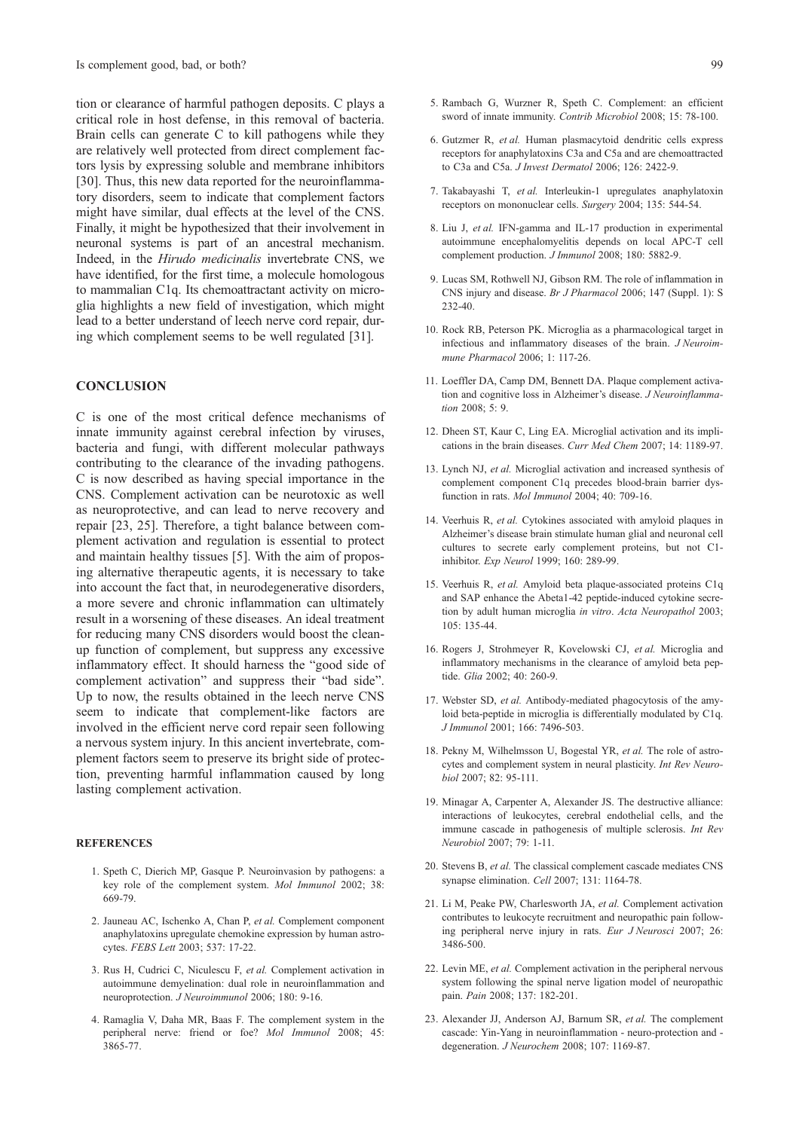tion or clearance of harmful pathogen deposits. C plays a critical role in host defense, in this removal of bacteria. Brain cells can generate C to kill pathogens while they are relatively well protected from direct complement factors lysis by expressing soluble and membrane inhibitors [30]. Thus, this new data reported for the neuroinflammatory disorders, seem to indicate that complement factors might have similar, dual effects at the level of the CNS. Finally, it might be hypothesized that their involvement in neuronal systems is part of an ancestral mechanism. Indeed, in the Hirudo medicinalis invertebrate CNS, we have identified, for the first time, a molecule homologous to mammalian C1q. Its chemoattractant activity on microglia highlights a new field of investigation, which might lead to a better understand of leech nerve cord repair, during which complement seems to be well regulated [31].

#### **CONCLUSION**

C is one of the most critical defence mechanisms of innate immunity against cerebral infection by viruses, bacteria and fungi, with different molecular pathways contributing to the clearance of the invading pathogens. C is now described as having special importance in the CNS. Complement activation can be neurotoxic as well as neuroprotective, and can lead to nerve recovery and repair [23, 25]. Therefore, a tight balance between complement activation and regulation is essential to protect and maintain healthy tissues [5]. With the aim of proposing alternative therapeutic agents, it is necessary to take into account the fact that, in neurodegenerative disorders, a more severe and chronic inflammation can ultimately result in a worsening of these diseases. An ideal treatment for reducing many CNS disorders would boost the cleanup function of complement, but suppress any excessive inflammatory effect. It should harness the "good side of complement activation" and suppress their "bad side". Up to now, the results obtained in the leech nerve CNS seem to indicate that complement-like factors are involved in the efficient nerve cord repair seen following a nervous system injury. In this ancient invertebrate, complement factors seem to preserve its bright side of protection, preventing harmful inflammation caused by long lasting complement activation.

#### **REFERENCES**

- 1. Speth C, Dierich MP, Gasque P. Neuroinvasion by pathogens: a key role of the complement system. Mol Immunol 2002; 38: 669-79.
- 2. Jauneau AC, Ischenko A, Chan P, et al. Complement component anaphylatoxins upregulate chemokine expression by human astrocytes. FEBS Lett 2003; 537: 17-22.
- 3. Rus H, Cudrici C, Niculescu F, et al. Complement activation in autoimmune demyelination: dual role in neuroinflammation and neuroprotection. J Neuroimmunol 2006; 180: 9-16.
- 4. Ramaglia V, Daha MR, Baas F. The complement system in the peripheral nerve: friend or foe? Mol Immunol 2008; 45: 3865-77.
- 6. Gutzmer R, et al. Human plasmacytoid dendritic cells express receptors for anaphylatoxins C3a and C5a and are chemoattracted to C3a and C5a. J Invest Dermatol 2006; 126: 2422-9.
- 7. Takabayashi T, et al. Interleukin-1 upregulates anaphylatoxin receptors on mononuclear cells. Surgery 2004; 135: 544-54.
- 8. Liu J, et al. IFN-gamma and IL-17 production in experimental autoimmune encephalomyelitis depends on local APC-T cell complement production. *J Immunol* 2008; 180: 5882-9.
- 9. Lucas SM, Rothwell NJ, Gibson RM. The role of inflammation in CNS injury and disease. Br J Pharmacol 2006; 147 (Suppl. 1): S 232-40.
- 10. Rock RB, Peterson PK. Microglia as a pharmacological target in infectious and inflammatory diseases of the brain. J Neuroimmune Pharmacol 2006; 1: 117-26.
- 11. Loeffler DA, Camp DM, Bennett DA. Plaque complement activation and cognitive loss in Alzheimer's disease. J Neuroinflamma- $\frac{\pi}{2008}$ ; 5: 9.
- 12. Dheen ST, Kaur C, Ling EA. Microglial activation and its implications in the brain diseases. Curr Med Chem 2007; 14: 1189-97.
- 13. Lynch NJ, et al. Microglial activation and increased synthesis of complement component C1q precedes blood-brain barrier dysfunction in rats. Mol Immunol 2004; 40: 709-16.
- 14. Veerhuis R, et al. Cytokines associated with amyloid plaques in Alzheimer's disease brain stimulate human glial and neuronal cell cultures to secrete early complement proteins, but not C1 inhibitor. Exp Neurol 1999; 160: 289-99.
- 15. Veerhuis R, et al. Amyloid beta plaque-associated proteins C1q and SAP enhance the Abeta1-42 peptide-induced cytokine secretion by adult human microglia in vitro. Acta Neuropathol 2003; 105: 135-44.
- 16. Rogers J, Strohmeyer R, Kovelowski CJ, et al. Microglia and inflammatory mechanisms in the clearance of amyloid beta peptide. Glia 2002; 40: 260-9.
- 17. Webster SD, et al. Antibody-mediated phagocytosis of the amyloid beta-peptide in microglia is differentially modulated by C1q. J Immunol 2001; 166: 7496-503.
- 18. Pekny M, Wilhelmsson U, Bogestal YR, et al. The role of astrocytes and complement system in neural plasticity. Int Rev Neurobiol 2007; 82: 95-111.
- 19. Minagar A, Carpenter A, Alexander JS. The destructive alliance: interactions of leukocytes, cerebral endothelial cells, and the immune cascade in pathogenesis of multiple sclerosis. Int Rev Neurobiol 2007; 79: 1-11.
- 20. Stevens B, et al. The classical complement cascade mediates CNS synapse elimination. Cell 2007; 131: 1164-78.
- 21. Li M, Peake PW, Charlesworth JA, et al. Complement activation contributes to leukocyte recruitment and neuropathic pain following peripheral nerve injury in rats. Eur J Neurosci 2007; 26: 3486-500.
- 22. Levin ME, et al. Complement activation in the peripheral nervous system following the spinal nerve ligation model of neuropathic pain. Pain 2008; 137: 182-201.
- 23. Alexander JJ, Anderson AJ, Barnum SR, et al. The complement cascade: Yin-Yang in neuroinflammation - neuro-protection and degeneration. J Neurochem 2008; 107: 1169-87.